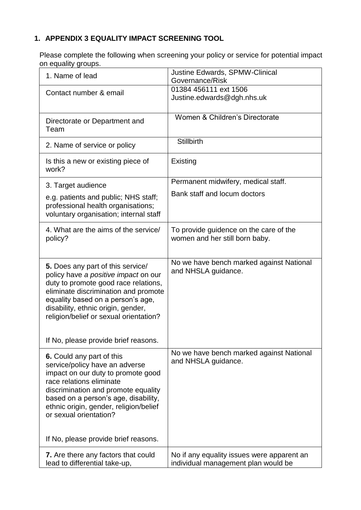## **1. APPENDIX 3 EQUALITY IMPACT SCREENING TOOL**

Please complete the following when screening your policy or service for potential impact on equality groups.

| 1. Name of lead                                                                                                                                                                                                                                                                                                        | Justine Edwards, SPMW-Clinical<br>Governance/Risk                                 |
|------------------------------------------------------------------------------------------------------------------------------------------------------------------------------------------------------------------------------------------------------------------------------------------------------------------------|-----------------------------------------------------------------------------------|
| Contact number & email                                                                                                                                                                                                                                                                                                 | 01384 456111 ext 1506<br>Justine.edwards@dgh.nhs.uk                               |
| Directorate or Department and<br>Team                                                                                                                                                                                                                                                                                  | Women & Children's Directorate                                                    |
| 2. Name of service or policy                                                                                                                                                                                                                                                                                           | <b>Stillbirth</b>                                                                 |
| Is this a new or existing piece of<br>work?                                                                                                                                                                                                                                                                            | Existing                                                                          |
| 3. Target audience                                                                                                                                                                                                                                                                                                     | Permanent midwifery, medical staff.                                               |
| e.g. patients and public; NHS staff;<br>professional health organisations;<br>voluntary organisation; internal staff                                                                                                                                                                                                   | Bank staff and locum doctors                                                      |
| 4. What are the aims of the service/<br>policy?                                                                                                                                                                                                                                                                        | To provide guidence on the care of the<br>women and her still born baby.          |
| 5. Does any part of this service/<br>policy have a positive impact on our<br>duty to promote good race relations,<br>eliminate discrimination and promote<br>equality based on a person's age,<br>disability, ethnic origin, gender,<br>religion/belief or sexual orientation?<br>If No, please provide brief reasons. | No we have bench marked against National<br>and NHSLA guidance.                   |
|                                                                                                                                                                                                                                                                                                                        |                                                                                   |
| 6. Could any part of this<br>service/policy have an adverse<br>impact on our duty to promote good<br>race relations eliminate<br>discrimination and promote equality<br>based on a person's age, disability,<br>ethnic origin, gender, religion/belief<br>or sexual orientation?                                       | No we have bench marked against National<br>and NHSLA guidance.                   |
| If No, please provide brief reasons.                                                                                                                                                                                                                                                                                   |                                                                                   |
| 7. Are there any factors that could<br>lead to differential take-up,                                                                                                                                                                                                                                                   | No if any equality issues were apparent an<br>individual management plan would be |